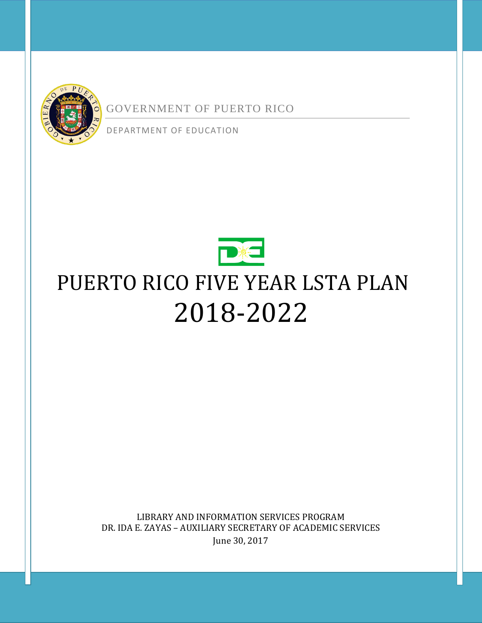

GOVERNMENT OF PUERTO RICO

DEPARTMENT OF EDUCATION



# PUERTO RICO FIVE YEAR LSTA PLAN 2018-2022

LIBRARY AND INFORMATION SERVICES PROGRAM DR. IDA E. ZAYAS – AUXILIARY SECRETARY OF ACADEMIC SERVICES June 30, 2017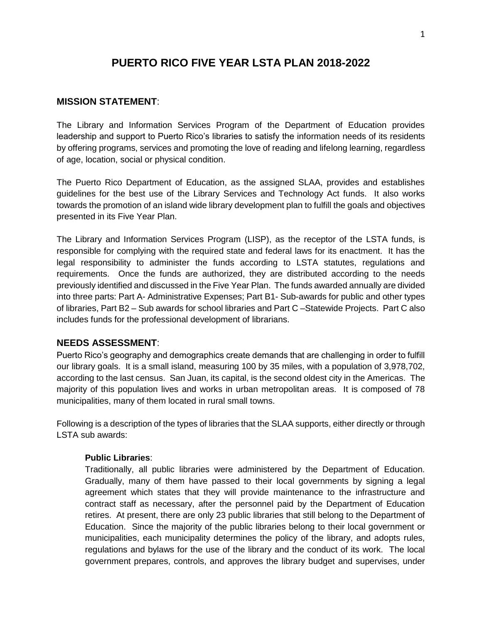## **PUERTO RICO FIVE YEAR LSTA PLAN 2018-2022**

## **MISSION STATEMENT**:

The Library and Information Services Program of the Department of Education provides leadership and support to Puerto Rico's libraries to satisfy the information needs of its residents by offering programs, services and promoting the love of reading and lifelong learning, regardless of age, location, social or physical condition.

The Puerto Rico Department of Education, as the assigned SLAA, provides and establishes guidelines for the best use of the Library Services and Technology Act funds. It also works towards the promotion of an island wide library development plan to fulfill the goals and objectives presented in its Five Year Plan.

The Library and Information Services Program (LISP), as the receptor of the LSTA funds, is responsible for complying with the required state and federal laws for its enactment. It has the legal responsibility to administer the funds according to LSTA statutes, regulations and requirements. Once the funds are authorized, they are distributed according to the needs previously identified and discussed in the Five Year Plan. The funds awarded annually are divided into three parts: Part A- Administrative Expenses; Part B1- Sub-awards for public and other types of libraries, Part B2 – Sub awards for school libraries and Part C –Statewide Projects. Part C also includes funds for the professional development of librarians.

### **NEEDS ASSESSMENT**:

Puerto Rico's geography and demographics create demands that are challenging in order to fulfill our library goals. It is a small island, measuring 100 by 35 miles, with a population of 3,978,702, according to the last census. San Juan, its capital, is the second oldest city in the Americas. The majority of this population lives and works in urban metropolitan areas. It is composed of 78 municipalities, many of them located in rural small towns.

Following is a description of the types of libraries that the SLAA supports, either directly or through LSTA sub awards:

### **Public Libraries**:

Traditionally, all public libraries were administered by the Department of Education. Gradually, many of them have passed to their local governments by signing a legal agreement which states that they will provide maintenance to the infrastructure and contract staff as necessary, after the personnel paid by the Department of Education retires. At present, there are only 23 public libraries that still belong to the Department of Education. Since the majority of the public libraries belong to their local government or municipalities, each municipality determines the policy of the library, and adopts rules, regulations and bylaws for the use of the library and the conduct of its work. The local government prepares, controls, and approves the library budget and supervises, under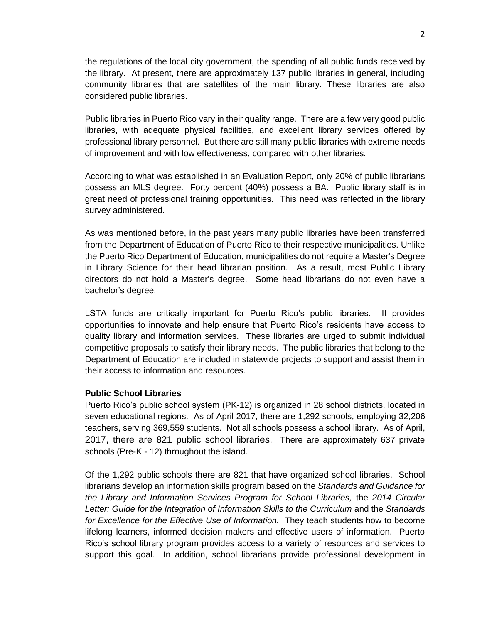the regulations of the local city government, the spending of all public funds received by the library. At present, there are approximately 137 public libraries in general, including community libraries that are satellites of the main library. These libraries are also considered public libraries.

Public libraries in Puerto Rico vary in their quality range. There are a few very good public libraries, with adequate physical facilities, and excellent library services offered by professional library personnel. But there are still many public libraries with extreme needs of improvement and with low effectiveness, compared with other libraries.

According to what was established in an Evaluation Report, only 20% of public librarians possess an MLS degree. Forty percent (40%) possess a BA. Public library staff is in great need of professional training opportunities. This need was reflected in the library survey administered.

As was mentioned before, in the past years many public libraries have been transferred from the Department of Education of Puerto Rico to their respective municipalities. Unlike the Puerto Rico Department of Education, municipalities do not require a Master's Degree in Library Science for their head librarian position. As a result, most Public Library directors do not hold a Master's degree. Some head librarians do not even have a bachelor's degree.

LSTA funds are critically important for Puerto Rico's public libraries. It provides opportunities to innovate and help ensure that Puerto Rico's residents have access to quality library and information services. These libraries are urged to submit individual competitive proposals to satisfy their library needs. The public libraries that belong to the Department of Education are included in statewide projects to support and assist them in their access to information and resources.

#### **Public School Libraries**

Puerto Rico's public school system (PK-12) is organized in 28 school districts, located in seven educational regions. As of April 2017, there are 1,292 schools, employing 32,206 teachers, serving 369,559 students. Not all schools possess a school library. As of April, 2017, there are 821 public school libraries. There are approximately 637 private schools (Pre-K - 12) throughout the island.

Of the 1,292 public schools there are 821 that have organized school libraries. School librarians develop an information skills program based on the *Standards and Guidance for the Library and Information Services Program for School Libraries,* the *2014 Circular Letter: Guide for the Integration of Information Skills to the Curriculum* and the *Standards for Excellence for the Effective Use of Information.* They teach students how to become lifelong learners, informed decision makers and effective users of information. Puerto Rico's school library program provides access to a variety of resources and services to support this goal. In addition, school librarians provide professional development in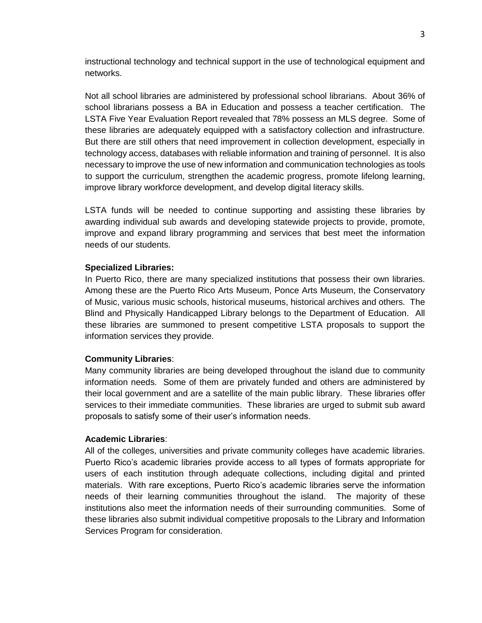instructional technology and technical support in the use of technological equipment and networks.

Not all school libraries are administered by professional school librarians. About 36% of school librarians possess a BA in Education and possess a teacher certification. The LSTA Five Year Evaluation Report revealed that 78% possess an MLS degree. Some of these libraries are adequately equipped with a satisfactory collection and infrastructure. But there are still others that need improvement in collection development, especially in technology access, databases with reliable information and training of personnel. It is also necessary to improve the use of new information and communication technologies as tools to support the curriculum, strengthen the academic progress, promote lifelong learning, improve library workforce development, and develop digital literacy skills.

LSTA funds will be needed to continue supporting and assisting these libraries by awarding individual sub awards and developing statewide projects to provide, promote, improve and expand library programming and services that best meet the information needs of our students.

#### **Specialized Libraries:**

In Puerto Rico, there are many specialized institutions that possess their own libraries. Among these are the Puerto Rico Arts Museum, Ponce Arts Museum, the Conservatory of Music, various music schools, historical museums, historical archives and others. The Blind and Physically Handicapped Library belongs to the Department of Education. All these libraries are summoned to present competitive LSTA proposals to support the information services they provide.

#### **Community Libraries**:

Many community libraries are being developed throughout the island due to community information needs. Some of them are privately funded and others are administered by their local government and are a satellite of the main public library. These libraries offer services to their immediate communities. These libraries are urged to submit sub award proposals to satisfy some of their user's information needs.

#### **Academic Libraries**:

All of the colleges, universities and private community colleges have academic libraries. Puerto Rico's academic libraries provide access to all types of formats appropriate for users of each institution through adequate collections, including digital and printed materials. With rare exceptions, Puerto Rico's academic libraries serve the information needs of their learning communities throughout the island. The majority of these institutions also meet the information needs of their surrounding communities. Some of these libraries also submit individual competitive proposals to the Library and Information Services Program for consideration.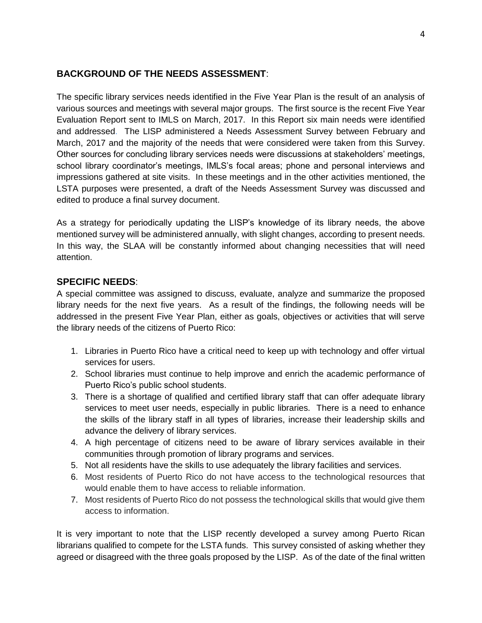## **BACKGROUND OF THE NEEDS ASSESSMENT**:

The specific library services needs identified in the Five Year Plan is the result of an analysis of various sources and meetings with several major groups. The first source is the recent Five Year Evaluation Report sent to IMLS on March, 2017. In this Report six main needs were identified and addressed. The LISP administered a Needs Assessment Survey between February and March, 2017 and the majority of the needs that were considered were taken from this Survey. Other sources for concluding library services needs were discussions at stakeholders' meetings, school library coordinator's meetings, IMLS's focal areas; phone and personal interviews and impressions gathered at site visits. In these meetings and in the other activities mentioned, the LSTA purposes were presented, a draft of the Needs Assessment Survey was discussed and edited to produce a final survey document.

As a strategy for periodically updating the LISP's knowledge of its library needs, the above mentioned survey will be administered annually, with slight changes, according to present needs. In this way, the SLAA will be constantly informed about changing necessities that will need attention.

## **SPECIFIC NEEDS**:

A special committee was assigned to discuss, evaluate, analyze and summarize the proposed library needs for the next five years. As a result of the findings, the following needs will be addressed in the present Five Year Plan, either as goals, objectives or activities that will serve the library needs of the citizens of Puerto Rico:

- 1. Libraries in Puerto Rico have a critical need to keep up with technology and offer virtual services for users.
- 2. School libraries must continue to help improve and enrich the academic performance of Puerto Rico's public school students.
- 3. There is a shortage of qualified and certified library staff that can offer adequate library services to meet user needs, especially in public libraries. There is a need to enhance the skills of the library staff in all types of libraries, increase their leadership skills and advance the delivery of library services.
- 4. A high percentage of citizens need to be aware of library services available in their communities through promotion of library programs and services.
- 5. Not all residents have the skills to use adequately the library facilities and services.
- 6. Most residents of Puerto Rico do not have access to the technological resources that would enable them to have access to reliable information.
- 7. Most residents of Puerto Rico do not possess the technological skills that would give them access to information.

It is very important to note that the LISP recently developed a survey among Puerto Rican librarians qualified to compete for the LSTA funds. This survey consisted of asking whether they agreed or disagreed with the three goals proposed by the LISP. As of the date of the final written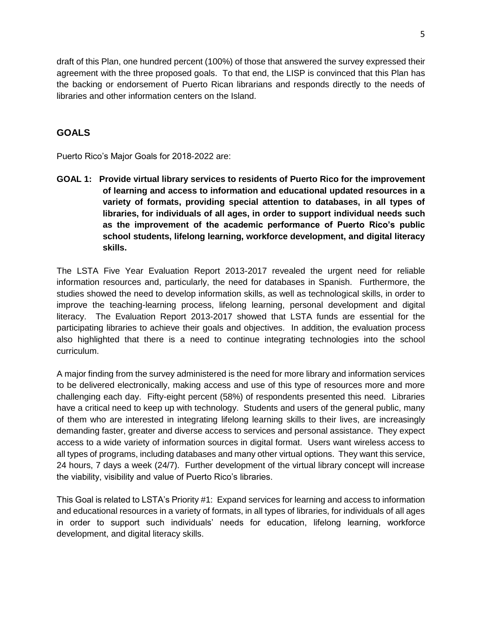draft of this Plan, one hundred percent (100%) of those that answered the survey expressed their agreement with the three proposed goals. To that end, the LISP is convinced that this Plan has the backing or endorsement of Puerto Rican librarians and responds directly to the needs of libraries and other information centers on the Island.

## **GOALS**

Puerto Rico's Major Goals for 2018-2022 are:

**GOAL 1: Provide virtual library services to residents of Puerto Rico for the improvement of learning and access to information and educational updated resources in a variety of formats, providing special attention to databases, in all types of libraries, for individuals of all ages, in order to support individual needs such as the improvement of the academic performance of Puerto Rico's public school students, lifelong learning, workforce development, and digital literacy skills.**

The LSTA Five Year Evaluation Report 2013-2017 revealed the urgent need for reliable information resources and, particularly, the need for databases in Spanish. Furthermore, the studies showed the need to develop information skills, as well as technological skills, in order to improve the teaching-learning process, lifelong learning, personal development and digital literacy. The Evaluation Report 2013-2017 showed that LSTA funds are essential for the participating libraries to achieve their goals and objectives. In addition, the evaluation process also highlighted that there is a need to continue integrating technologies into the school curriculum.

A major finding from the survey administered is the need for more library and information services to be delivered electronically, making access and use of this type of resources more and more challenging each day. Fifty-eight percent (58%) of respondents presented this need. Libraries have a critical need to keep up with technology. Students and users of the general public, many of them who are interested in integrating lifelong learning skills to their lives, are increasingly demanding faster, greater and diverse access to services and personal assistance. They expect access to a wide variety of information sources in digital format. Users want wireless access to all types of programs, including databases and many other virtual options. They want this service, 24 hours, 7 days a week (24/7). Further development of the virtual library concept will increase the viability, visibility and value of Puerto Rico's libraries.

This Goal is related to LSTA's Priority #1: Expand services for learning and access to information and educational resources in a variety of formats, in all types of libraries, for individuals of all ages in order to support such individuals' needs for education, lifelong learning, workforce development, and digital literacy skills.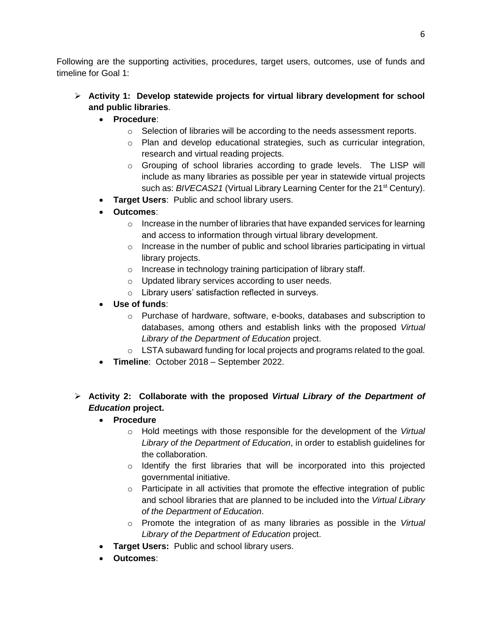Following are the supporting activities, procedures, target users, outcomes, use of funds and timeline for Goal 1:

- **Activity 1: Develop statewide projects for virtual library development for school and public libraries**.
	- **Procedure**:
		- $\circ$  Selection of libraries will be according to the needs assessment reports.
		- o Plan and develop educational strategies, such as curricular integration, research and virtual reading projects.
		- $\circ$  Grouping of school libraries according to grade levels. The LISP will include as many libraries as possible per year in statewide virtual projects such as: *BIVECAS21* (Virtual Library Learning Center for the 21<sup>st</sup> Century).
	- **Target Users**: Public and school library users.
	- **Outcomes**:
		- $\circ$  Increase in the number of libraries that have expanded services for learning and access to information through virtual library development.
		- o Increase in the number of public and school libraries participating in virtual library projects.
		- o Increase in technology training participation of library staff.
		- o Updated library services according to user needs.
		- o Library users' satisfaction reflected in surveys.
	- **Use of funds**:
		- o Purchase of hardware, software, e-books, databases and subscription to databases, among others and establish links with the proposed *Virtual Library of the Department of Education* project.
		- o LSTA subaward funding for local projects and programs related to the goal.
	- **Timeline**: October 2018 September 2022.
- **Activity 2: Collaborate with the proposed** *Virtual Library of the Department of Education* **project.**
	- **Procedure**
		- o Hold meetings with those responsible for the development of the *Virtual Library of the Department of Education*, in order to establish guidelines for the collaboration.
		- $\circ$  Identify the first libraries that will be incorporated into this projected governmental initiative.
		- o Participate in all activities that promote the effective integration of public and school libraries that are planned to be included into the *Virtual Library of the Department of Education*.
		- o Promote the integration of as many libraries as possible in the *Virtual Library of the Department of Education* project.
	- **Target Users:** Public and school library users.
	- **Outcomes**: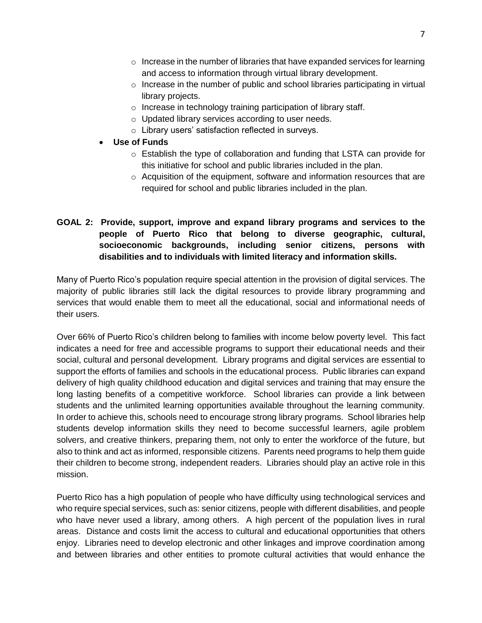- $\circ$  Increase in the number of libraries that have expanded services for learning and access to information through virtual library development.
- $\circ$  Increase in the number of public and school libraries participating in virtual library projects.
- o Increase in technology training participation of library staff.
- o Updated library services according to user needs.
- o Library users' satisfaction reflected in surveys.
- **Use of Funds**
	- $\circ$  Establish the type of collaboration and funding that LSTA can provide for this initiative for school and public libraries included in the plan.
	- o Acquisition of the equipment, software and information resources that are required for school and public libraries included in the plan.

## **GOAL 2: Provide, support, improve and expand library programs and services to the people of Puerto Rico that belong to diverse geographic, cultural, socioeconomic backgrounds, including senior citizens, persons with disabilities and to individuals with limited literacy and information skills.**

Many of Puerto Rico's population require special attention in the provision of digital services. The majority of public libraries still lack the digital resources to provide library programming and services that would enable them to meet all the educational, social and informational needs of their users.

Over 66% of Puerto Rico's children belong to families with income below poverty level. This fact indicates a need for free and accessible programs to support their educational needs and their social, cultural and personal development. Library programs and digital services are essential to support the efforts of families and schools in the educational process. Public libraries can expand delivery of high quality childhood education and digital services and training that may ensure the long lasting benefits of a competitive workforce. School libraries can provide a link between students and the unlimited learning opportunities available throughout the learning community. In order to achieve this, schools need to encourage strong library programs. School libraries help students develop information skills they need to become successful learners, agile problem solvers, and creative thinkers, preparing them, not only to enter the workforce of the future, but also to think and act as informed, responsible citizens. Parents need programs to help them guide their children to become strong, independent readers. Libraries should play an active role in this mission.

Puerto Rico has a high population of people who have difficulty using technological services and who require special services, such as: senior citizens, people with different disabilities, and people who have never used a library, among others. A high percent of the population lives in rural areas. Distance and costs limit the access to cultural and educational opportunities that others enjoy. Libraries need to develop electronic and other linkages and improve coordination among and between libraries and other entities to promote cultural activities that would enhance the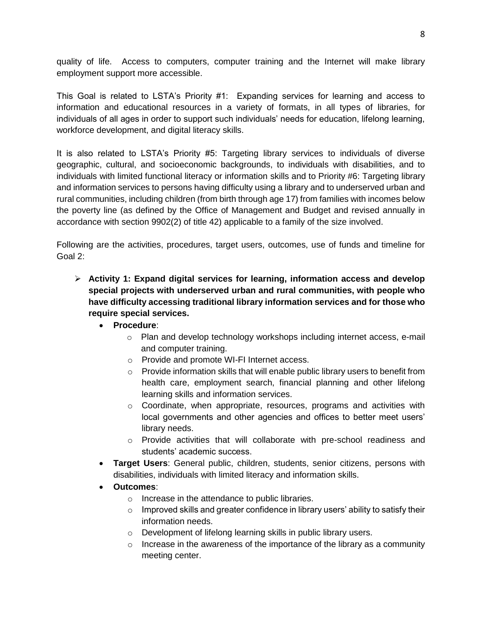quality of life. Access to computers, computer training and the Internet will make library employment support more accessible.

This Goal is related to LSTA's Priority #1: Expanding services for learning and access to information and educational resources in a variety of formats, in all types of libraries, for individuals of all ages in order to support such individuals' needs for education, lifelong learning, workforce development, and digital literacy skills.

It is also related to LSTA's Priority #5: Targeting library services to individuals of diverse geographic, cultural, and socioeconomic backgrounds, to individuals with disabilities, and to individuals with limited functional literacy or information skills and to Priority #6: Targeting library and information services to persons having difficulty using a library and to underserved urban and rural communities, including children (from birth through age 17) from families with incomes below the poverty line (as defined by the Office of Management and Budget and revised annually in accordance with section 9902(2) of title 42) applicable to a family of the size involved.

Following are the activities, procedures, target users, outcomes, use of funds and timeline for Goal 2:

- **Activity 1: Expand digital services for learning, information access and develop special projects with underserved urban and rural communities, with people who have difficulty accessing traditional library information services and for those who require special services.** 
	- **Procedure**:
		- o Plan and develop technology workshops including internet access, e-mail and computer training.
		- o Provide and promote WI-FI Internet access.
		- $\circ$  Provide information skills that will enable public library users to benefit from health care, employment search, financial planning and other lifelong learning skills and information services.
		- $\circ$  Coordinate, when appropriate, resources, programs and activities with local governments and other agencies and offices to better meet users' library needs.
		- o Provide activities that will collaborate with pre-school readiness and students' academic success.
	- **Target Users**: General public, children, students, senior citizens, persons with disabilities, individuals with limited literacy and information skills.
	- **Outcomes**:
		- o Increase in the attendance to public libraries.
		- o Improved skills and greater confidence in library users' ability to satisfy their information needs.
		- o Development of lifelong learning skills in public library users.
		- $\circ$  Increase in the awareness of the importance of the library as a community meeting center.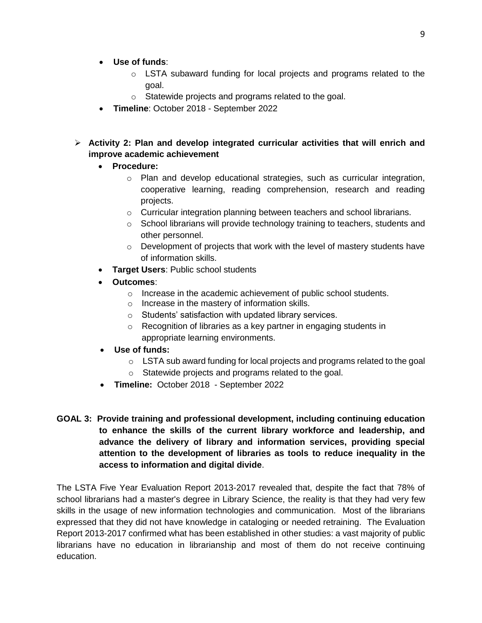- **Use of funds**:
	- o LSTA subaward funding for local projects and programs related to the goal.
	- o Statewide projects and programs related to the goal.
- **Timeline**: October 2018 September 2022
- **Activity 2: Plan and develop integrated curricular activities that will enrich and improve academic achievement**
	- **Procedure:**
		- o Plan and develop educational strategies, such as curricular integration, cooperative learning, reading comprehension, research and reading projects.
		- o Curricular integration planning between teachers and school librarians.
		- $\circ$  School librarians will provide technology training to teachers, students and other personnel.
		- o Development of projects that work with the level of mastery students have of information skills.
	- **Target Users**: Public school students
	- **Outcomes**:
		- o Increase in the academic achievement of public school students.
		- o Increase in the mastery of information skills.
		- o Students' satisfaction with updated library services.
		- o Recognition of libraries as a key partner in engaging students in appropriate learning environments.
	- **Use of funds:**
		- o LSTA sub award funding for local projects and programs related to the goal
		- o Statewide projects and programs related to the goal.
	- **Timeline:** October 2018 September 2022
- **GOAL 3: Provide training and professional development, including continuing education to enhance the skills of the current library workforce and leadership, and advance the delivery of library and information services, providing special attention to the development of libraries as tools to reduce inequality in the access to information and digital divide**.

The LSTA Five Year Evaluation Report 2013-2017 revealed that, despite the fact that 78% of school librarians had a master's degree in Library Science, the reality is that they had very few skills in the usage of new information technologies and communication. Most of the librarians expressed that they did not have knowledge in cataloging or needed retraining. The Evaluation Report 2013-2017 confirmed what has been established in other studies: a vast majority of public librarians have no education in librarianship and most of them do not receive continuing education.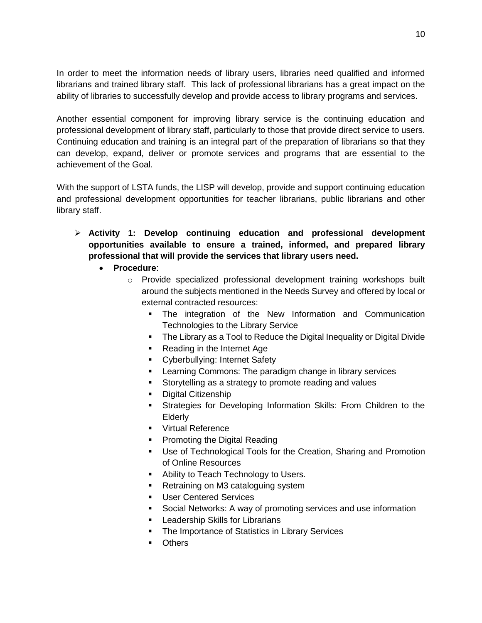In order to meet the information needs of library users, libraries need qualified and informed librarians and trained library staff. This lack of professional librarians has a great impact on the ability of libraries to successfully develop and provide access to library programs and services.

Another essential component for improving library service is the continuing education and professional development of library staff, particularly to those that provide direct service to users. Continuing education and training is an integral part of the preparation of librarians so that they can develop, expand, deliver or promote services and programs that are essential to the achievement of the Goal.

With the support of LSTA funds, the LISP will develop, provide and support continuing education and professional development opportunities for teacher librarians, public librarians and other library staff.

- **Activity 1: Develop continuing education and professional development opportunities available to ensure a trained, informed, and prepared library professional that will provide the services that library users need.**
	- **Procedure**:
		- $\circ$  Provide specialized professional development training workshops built around the subjects mentioned in the Needs Survey and offered by local or external contracted resources:
			- The integration of the New Information and Communication Technologies to the Library Service
			- **The Library as a Tool to Reduce the Digital Inequality or Digital Divide**
			- Reading in the Internet Age
			- **•** Cyberbullying: Internet Safety
			- **EXECT** Learning Commons: The paradigm change in library services
			- **Storytelling as a strategy to promote reading and values**
			- **•** Digital Citizenship
			- Strategies for Developing Information Skills: From Children to the **Elderly**
			- **Virtual Reference**
			- **Promoting the Digital Reading**
			- Use of Technological Tools for the Creation, Sharing and Promotion of Online Resources
			- Ability to Teach Technology to Users.
			- **Retraining on M3 cataloguing system**
			- **User Centered Services**
			- **Social Networks: A way of promoting services and use information**
			- **Leadership Skills for Librarians**
			- **The Importance of Statistics in Library Services**
			- **D**thers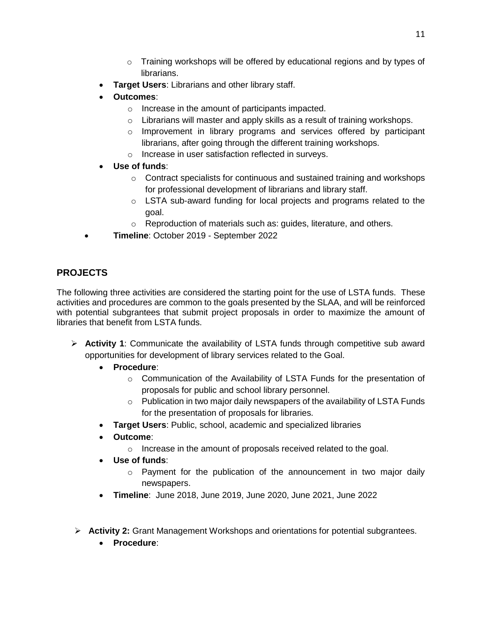- $\circ$  Training workshops will be offered by educational regions and by types of librarians.
- **Target Users**: Librarians and other library staff.
- **Outcomes**:
	- o Increase in the amount of participants impacted.
	- $\circ$  Librarians will master and apply skills as a result of training workshops.
	- $\circ$  Improvement in library programs and services offered by participant librarians, after going through the different training workshops.
	- o Increase in user satisfaction reflected in surveys.
- **Use of funds**:
	- o Contract specialists for continuous and sustained training and workshops for professional development of librarians and library staff.
	- o LSTA sub-award funding for local projects and programs related to the goal.
	- o Reproduction of materials such as: guides, literature, and others.
- **Timeline**: October 2019 September 2022

## **PROJECTS**

The following three activities are considered the starting point for the use of LSTA funds. These activities and procedures are common to the goals presented by the SLAA, and will be reinforced with potential subgrantees that submit project proposals in order to maximize the amount of libraries that benefit from LSTA funds.

- **Activity 1**: Communicate the availability of LSTA funds through competitive sub award opportunities for development of library services related to the Goal.
	- **Procedure**:
		- $\circ$  Communication of the Availability of LSTA Funds for the presentation of proposals for public and school library personnel.
		- $\circ$  Publication in two major daily newspapers of the availability of LSTA Funds for the presentation of proposals for libraries.
	- **Target Users**: Public, school, academic and specialized libraries
	- **Outcome**:
		- o Increase in the amount of proposals received related to the goal.
	- **Use of funds**:
		- $\circ$  Payment for the publication of the announcement in two major daily newspapers.
	- **Timeline**: June 2018, June 2019, June 2020, June 2021, June 2022
- **Activity 2:** Grant Management Workshops and orientations for potential subgrantees.
	- **Procedure**: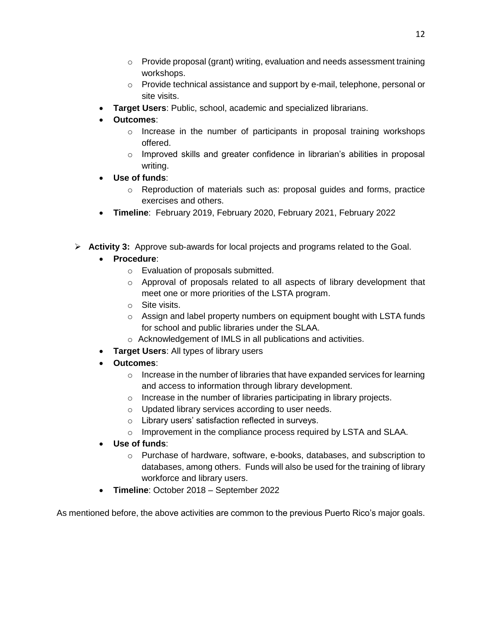- $\circ$  Provide proposal (grant) writing, evaluation and needs assessment training workshops.
- $\circ$  Provide technical assistance and support by e-mail, telephone, personal or site visits.
- **Target Users**: Public, school, academic and specialized librarians.
- **Outcomes**:
	- $\circ$  Increase in the number of participants in proposal training workshops offered.
	- o Improved skills and greater confidence in librarian's abilities in proposal writing.
- **Use of funds**:
	- $\circ$  Reproduction of materials such as: proposal guides and forms, practice exercises and others.
- **Timeline**: February 2019, February 2020, February 2021, February 2022
- **Activity 3:** Approve sub-awards for local projects and programs related to the Goal.
	- **Procedure**:
		- o Evaluation of proposals submitted.
		- $\circ$  Approval of proposals related to all aspects of library development that meet one or more priorities of the LSTA program.
		- o Site visits.
		- $\circ$  Assign and label property numbers on equipment bought with LSTA funds for school and public libraries under the SLAA.
		- o Acknowledgement of IMLS in all publications and activities.
	- **Target Users**: All types of library users
	- **Outcomes**:
		- $\circ$  Increase in the number of libraries that have expanded services for learning and access to information through library development.
		- o Increase in the number of libraries participating in library projects.
		- o Updated library services according to user needs.
		- o Library users' satisfaction reflected in surveys.
		- o Improvement in the compliance process required by LSTA and SLAA.
	- **Use of funds**:
		- $\circ$  Purchase of hardware, software, e-books, databases, and subscription to databases, among others. Funds will also be used for the training of library workforce and library users.
	- **Timeline**: October 2018 September 2022

As mentioned before, the above activities are common to the previous Puerto Rico's major goals.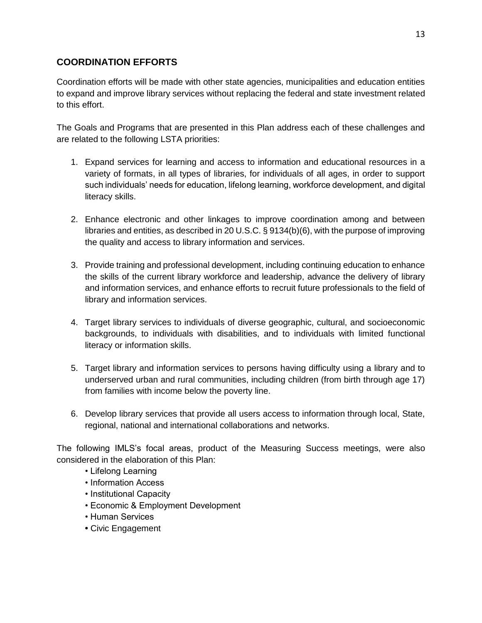## **COORDINATION EFFORTS**

Coordination efforts will be made with other state agencies, municipalities and education entities to expand and improve library services without replacing the federal and state investment related to this effort.

The Goals and Programs that are presented in this Plan address each of these challenges and are related to the following LSTA priorities:

- 1. Expand services for learning and access to information and educational resources in a variety of formats, in all types of libraries, for individuals of all ages, in order to support such individuals' needs for education, lifelong learning, workforce development, and digital literacy skills.
- 2. Enhance electronic and other linkages to improve coordination among and between libraries and entities, as described in 20 U.S.C. § 9134(b)(6), with the purpose of improving the quality and access to library information and services.
- 3. Provide training and professional development, including continuing education to enhance the skills of the current library workforce and leadership, advance the delivery of library and information services, and enhance efforts to recruit future professionals to the field of library and information services.
- 4. Target library services to individuals of diverse geographic, cultural, and socioeconomic backgrounds, to individuals with disabilities, and to individuals with limited functional literacy or information skills.
- 5. Target library and information services to persons having difficulty using a library and to underserved urban and rural communities, including children (from birth through age 17) from families with income below the poverty line.
- 6. Develop library services that provide all users access to information through local, State, regional, national and international collaborations and networks.

The following IMLS's focal areas, product of the Measuring Success meetings, were also considered in the elaboration of this Plan:

- Lifelong Learning
- Information Access
- Institutional Capacity
- Economic & Employment Development
- Human Services
- Civic Engagement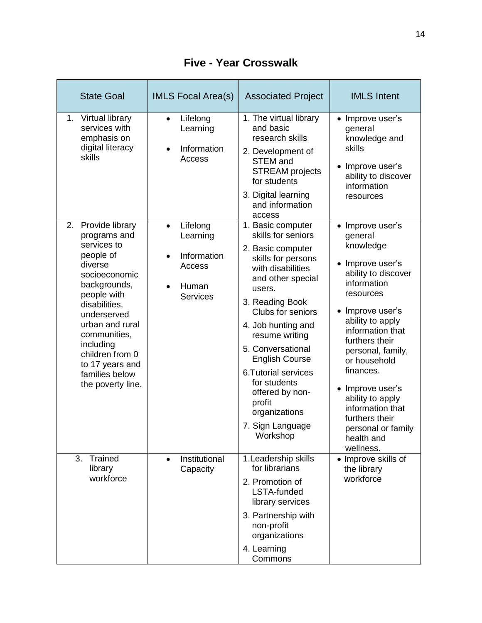| <b>State Goal</b>                                                                                                                                                                                                                                                                      | <b>IMLS Focal Area(s)</b>                                                              | <b>Associated Project</b>                                                                                                                                                                                                                                                                                                                                                                        | <b>IMLS</b> Intent                                                                                                                                                                                                                                                                                                                                                       |
|----------------------------------------------------------------------------------------------------------------------------------------------------------------------------------------------------------------------------------------------------------------------------------------|----------------------------------------------------------------------------------------|--------------------------------------------------------------------------------------------------------------------------------------------------------------------------------------------------------------------------------------------------------------------------------------------------------------------------------------------------------------------------------------------------|--------------------------------------------------------------------------------------------------------------------------------------------------------------------------------------------------------------------------------------------------------------------------------------------------------------------------------------------------------------------------|
| 1. Virtual library<br>services with<br>emphasis on<br>digital literacy<br>skills                                                                                                                                                                                                       | Lifelong<br>Learning<br>Information<br>$\bullet$<br>Access                             | 1. The virtual library<br>and basic<br>research skills<br>2. Development of<br><b>STEM</b> and<br><b>STREAM</b> projects<br>for students<br>3. Digital learning<br>and information<br>access                                                                                                                                                                                                     | • Improve user's<br>general<br>knowledge and<br>skills<br>Improve user's<br>ability to discover<br>information<br>resources                                                                                                                                                                                                                                              |
| 2. Provide library<br>programs and<br>services to<br>people of<br>diverse<br>socioeconomic<br>backgrounds,<br>people with<br>disabilities,<br>underserved<br>urban and rural<br>communities,<br>including<br>children from 0<br>to 17 years and<br>families below<br>the poverty line. | Lifelong<br>$\bullet$<br>Learning<br>Information<br>Access<br>Human<br><b>Services</b> | 1. Basic computer<br>skills for seniors<br>2. Basic computer<br>skills for persons<br>with disabilities<br>and other special<br>users.<br>3. Reading Book<br>Clubs for seniors<br>4. Job hunting and<br>resume writing<br>5. Conversational<br><b>English Course</b><br><b>6.Tutorial services</b><br>for students<br>offered by non-<br>profit<br>organizations<br>7. Sign Language<br>Workshop | • Improve user's<br>general<br>knowledge<br>Improve user's<br>ability to discover<br>information<br>resources<br>Improve user's<br>ability to apply<br>information that<br>furthers their<br>personal, family,<br>or household<br>finances.<br>Improve user's<br>ability to apply<br>information that<br>furthers their<br>personal or family<br>health and<br>wellness. |
| 3.<br>Trained<br>library<br>workforce                                                                                                                                                                                                                                                  | Institutional<br>Capacity                                                              | 1. Leadership skills<br>for librarians<br>2. Promotion of<br>LSTA-funded<br>library services<br>3. Partnership with<br>non-profit<br>organizations<br>4. Learning<br>Commons                                                                                                                                                                                                                     | • Improve skills of<br>the library<br>workforce                                                                                                                                                                                                                                                                                                                          |

**Five - Year Crosswalk**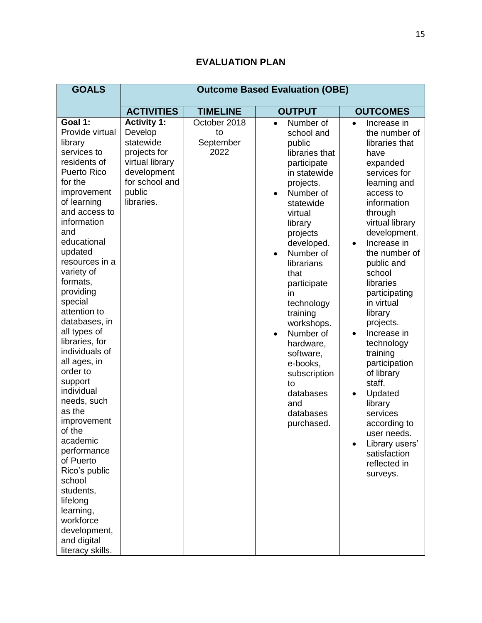| <b>GOALS</b>                                                                                                                                                                                                                                                                                                                                                                                                                                                                                                                                                                                                                                  | <b>Outcome Based Evaluation (OBE)</b>                                                                                                  |                                         |                                                                                                                                                                                                                                                                                                                                                                                                                                                       |                                                                                                                                                                                                                                                                                                                                                                                                                                                                                                                                                                 |
|-----------------------------------------------------------------------------------------------------------------------------------------------------------------------------------------------------------------------------------------------------------------------------------------------------------------------------------------------------------------------------------------------------------------------------------------------------------------------------------------------------------------------------------------------------------------------------------------------------------------------------------------------|----------------------------------------------------------------------------------------------------------------------------------------|-----------------------------------------|-------------------------------------------------------------------------------------------------------------------------------------------------------------------------------------------------------------------------------------------------------------------------------------------------------------------------------------------------------------------------------------------------------------------------------------------------------|-----------------------------------------------------------------------------------------------------------------------------------------------------------------------------------------------------------------------------------------------------------------------------------------------------------------------------------------------------------------------------------------------------------------------------------------------------------------------------------------------------------------------------------------------------------------|
|                                                                                                                                                                                                                                                                                                                                                                                                                                                                                                                                                                                                                                               | <b>ACTIVITIES</b>                                                                                                                      | <b>TIMELINE</b>                         | <b>OUTPUT</b>                                                                                                                                                                                                                                                                                                                                                                                                                                         | <b>OUTCOMES</b>                                                                                                                                                                                                                                                                                                                                                                                                                                                                                                                                                 |
| Goal 1:<br>Provide virtual<br>library<br>services to<br>residents of<br><b>Puerto Rico</b><br>for the<br>improvement<br>of learning<br>and access to<br>information<br>and<br>educational<br>updated<br>resources in a<br>variety of<br>formats,<br>providing<br>special<br>attention to<br>databases, in<br>all types of<br>libraries, for<br>individuals of<br>all ages, in<br>order to<br>support<br>individual<br>needs, such<br>as the<br>improvement<br>of the<br>academic<br>performance<br>of Puerto<br>Rico's public<br>school<br>students,<br>lifelong<br>learning,<br>workforce<br>development,<br>and digital<br>literacy skills. | <b>Activity 1:</b><br>Develop<br>statewide<br>projects for<br>virtual library<br>development<br>for school and<br>public<br>libraries. | October 2018<br>to<br>September<br>2022 | Number of<br>$\bullet$<br>school and<br>public<br>libraries that<br>participate<br>in statewide<br>projects.<br>Number of<br>$\bullet$<br>statewide<br>virtual<br>library<br>projects<br>developed.<br>Number of<br>$\bullet$<br>librarians<br>that<br>participate<br>in<br>technology<br>training<br>workshops.<br>Number of<br>$\bullet$<br>hardware,<br>software,<br>e-books,<br>subscription<br>to<br>databases<br>and<br>databases<br>purchased. | Increase in<br>$\bullet$<br>the number of<br>libraries that<br>have<br>expanded<br>services for<br>learning and<br>access to<br>information<br>through<br>virtual library<br>development.<br>Increase in<br>$\bullet$<br>the number of<br>public and<br>school<br>libraries<br>participating<br>in virtual<br>library<br>projects.<br>Increase in<br>$\bullet$<br>technology<br>training<br>participation<br>of library<br>staff.<br>Updated<br>library<br>services<br>according to<br>user needs<br>Library users'<br>satisfaction<br>reflected in<br>surveys. |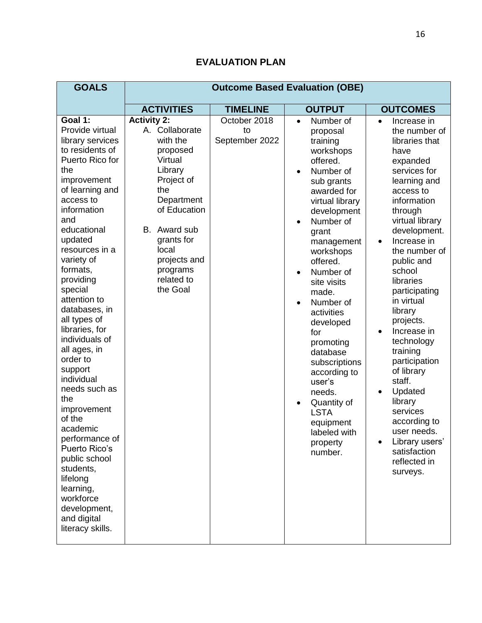| <b>GOALS</b>                                                                                                                                                                                                                                                                                                                                                                                                                                                                                                                                                                                                                    | <b>Outcome Based Evaluation (OBE)</b>                                                                                                                                                                                              |                                      |                                                                                                                                                                                                                                                                                                                                                                                                                                                                                   |                                                                                                                                                                                                                                                                                                                                                                                                                                                                                                                                                                 |
|---------------------------------------------------------------------------------------------------------------------------------------------------------------------------------------------------------------------------------------------------------------------------------------------------------------------------------------------------------------------------------------------------------------------------------------------------------------------------------------------------------------------------------------------------------------------------------------------------------------------------------|------------------------------------------------------------------------------------------------------------------------------------------------------------------------------------------------------------------------------------|--------------------------------------|-----------------------------------------------------------------------------------------------------------------------------------------------------------------------------------------------------------------------------------------------------------------------------------------------------------------------------------------------------------------------------------------------------------------------------------------------------------------------------------|-----------------------------------------------------------------------------------------------------------------------------------------------------------------------------------------------------------------------------------------------------------------------------------------------------------------------------------------------------------------------------------------------------------------------------------------------------------------------------------------------------------------------------------------------------------------|
|                                                                                                                                                                                                                                                                                                                                                                                                                                                                                                                                                                                                                                 | <b>ACTIVITIES</b><br><b>TIMELINE</b>                                                                                                                                                                                               |                                      | <b>OUTPUT</b>                                                                                                                                                                                                                                                                                                                                                                                                                                                                     | <b>OUTCOMES</b>                                                                                                                                                                                                                                                                                                                                                                                                                                                                                                                                                 |
| Goal 1:<br>Provide virtual<br>library services<br>to residents of<br>Puerto Rico for<br>the<br>improvement<br>of learning and<br>access to<br>information<br>and<br>educational<br>updated<br>resources in a<br>variety of<br>formats,<br>providing<br>special<br>attention to<br>databases, in<br>all types of<br>libraries, for<br>individuals of<br>all ages, in<br>order to<br>support<br>individual<br>needs such as<br>the<br>improvement<br>of the<br>academic<br>performance of<br>Puerto Rico's<br>public school<br>students,<br>lifelong<br>learning,<br>workforce<br>development,<br>and digital<br>literacy skills. | <b>Activity 2:</b><br>A. Collaborate<br>with the<br>proposed<br>Virtual<br>Library<br>Project of<br>the<br>Department<br>of Education<br>B. Award sub<br>grants for<br>local<br>projects and<br>programs<br>related to<br>the Goal | October 2018<br>to<br>September 2022 | Number of<br>$\bullet$<br>proposal<br>training<br>workshops<br>offered.<br>Number of<br>$\bullet$<br>sub grants<br>awarded for<br>virtual library<br>development<br>Number of<br>grant<br>management<br>workshops<br>offered.<br>Number of<br>site visits<br>made.<br>Number of<br>activities<br>developed<br>for<br>promoting<br>database<br>subscriptions<br>according to<br>user's<br>needs.<br>Quantity of<br><b>LSTA</b><br>equipment<br>labeled with<br>property<br>number. | Increase in<br>$\bullet$<br>the number of<br>libraries that<br>have<br>expanded<br>services for<br>learning and<br>access to<br>information<br>through<br>virtual library<br>development.<br>Increase in<br>$\bullet$<br>the number of<br>public and<br>school<br>libraries<br>participating<br>in virtual<br>library<br>projects.<br>Increase in<br>$\bullet$<br>technology<br>training<br>participation<br>of library<br>staff.<br>Updated<br>library<br>services<br>according to<br>user needs<br>Library users'<br>satisfaction<br>reflected in<br>surveys. |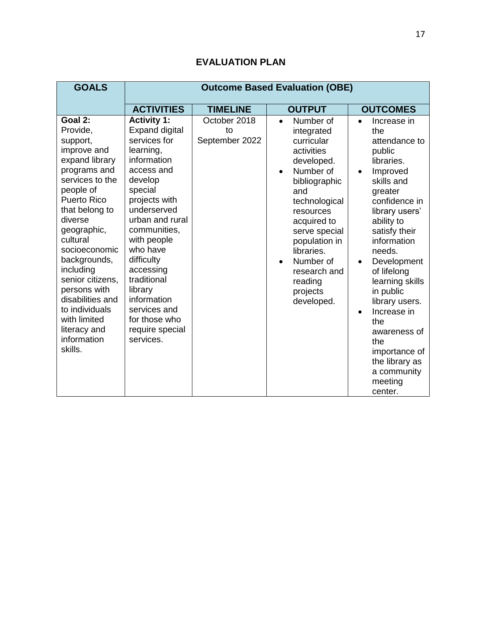| <b>GOALS</b>                                                                                                                                                                                                                                                                                                                                                                     | <b>Outcome Based Evaluation (OBE)</b>                                                                                                                                                                                                                                                                                                                          |                                      |                                                                                                                                                                                                                                                                                    |                                                                                                                                                                                                                                                                                                                                                                                                                                                      |
|----------------------------------------------------------------------------------------------------------------------------------------------------------------------------------------------------------------------------------------------------------------------------------------------------------------------------------------------------------------------------------|----------------------------------------------------------------------------------------------------------------------------------------------------------------------------------------------------------------------------------------------------------------------------------------------------------------------------------------------------------------|--------------------------------------|------------------------------------------------------------------------------------------------------------------------------------------------------------------------------------------------------------------------------------------------------------------------------------|------------------------------------------------------------------------------------------------------------------------------------------------------------------------------------------------------------------------------------------------------------------------------------------------------------------------------------------------------------------------------------------------------------------------------------------------------|
|                                                                                                                                                                                                                                                                                                                                                                                  | <b>ACTIVITIES</b>                                                                                                                                                                                                                                                                                                                                              | <b>TIMELINE</b>                      | <b>OUTPUT</b>                                                                                                                                                                                                                                                                      | <b>OUTCOMES</b>                                                                                                                                                                                                                                                                                                                                                                                                                                      |
| Goal 2:<br>Provide,<br>support,<br>improve and<br>expand library<br>programs and<br>services to the<br>people of<br><b>Puerto Rico</b><br>that belong to<br>diverse<br>geographic,<br>cultural<br>socioeconomic<br>backgrounds,<br>including<br>senior citizens,<br>persons with<br>disabilities and<br>to individuals<br>with limited<br>literacy and<br>information<br>skills. | <b>Activity 1:</b><br><b>Expand digital</b><br>services for<br>learning,<br>information<br>access and<br>develop<br>special<br>projects with<br>underserved<br>urban and rural<br>communities,<br>with people<br>who have<br>difficulty<br>accessing<br>traditional<br>library<br>information<br>services and<br>for those who<br>require special<br>services. | October 2018<br>to<br>September 2022 | Number of<br>$\bullet$<br>integrated<br>curricular<br>activities<br>developed.<br>Number of<br>bibliographic<br>and<br>technological<br>resources<br>acquired to<br>serve special<br>population in<br>libraries.<br>Number of<br>research and<br>reading<br>projects<br>developed. | Increase in<br>$\bullet$<br>the<br>attendance to<br>public<br>libraries.<br>Improved<br>$\bullet$<br>skills and<br>greater<br>confidence in<br>library users'<br>ability to<br>satisfy their<br>information<br>needs.<br>Development<br>$\bullet$<br>of lifelong<br>learning skills<br>in public<br>library users.<br>Increase in<br>$\bullet$<br>the<br>awareness of<br>the<br>importance of<br>the library as<br>a community<br>meeting<br>center. |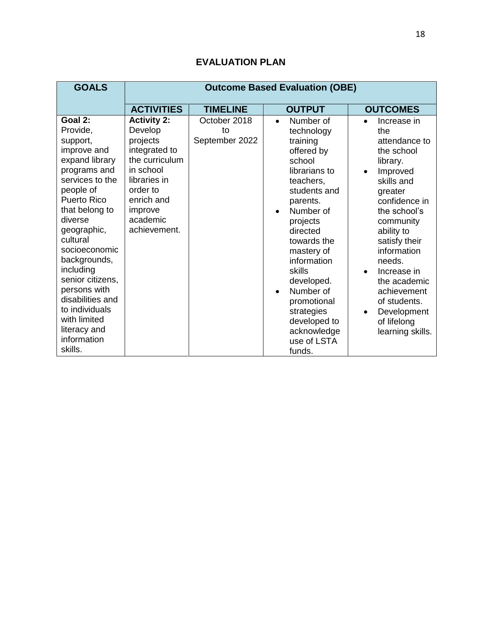#### **GOALS Outcome Based Evaluation (OBE) ACTIVITIES TIMELINE OUTPUT OUTCOMES Goal 2:**  Provide, support, improve and expand library programs and services to the people of Puerto Rico that belong to diverse geographic, cultural socioeconomic backgrounds, including senior citizens, persons with disabilities and to individuals with limited literacy and information skills. **Activity 2:** Develop projects integrated to the curriculum in school libraries in order to enrich and improve academic achievement. October 2018 to September 2022 • Number of technology training offered by school librarians to teachers, students and parents. Number of projects directed towards the mastery of information skills developed. Number of promotional strategies developed to acknowledge use of LSTA • Increase in the attendance to the school library. • Improved skills and greater confidence in the school's community ability to satisfy their information needs. • Increase in the academic achievement of students. • Development of lifelong learning skills.

funds.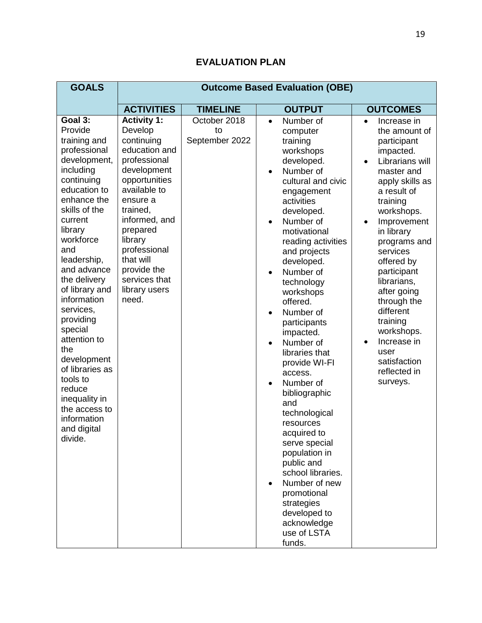| <b>GOALS</b>                                                                                                                                                                                                                                                                                                                                                                                                                                                          | <b>Outcome Based Evaluation (OBE)</b>                                                                                                                                                                                                                                               |                                      |                                                                                                                                                                                                                                                                                                                                                                                                                                                                                                                                                                                                                                                                                                                                             |                                                                                                                                                                                                                                                                                                                                                                                                                                                        |
|-----------------------------------------------------------------------------------------------------------------------------------------------------------------------------------------------------------------------------------------------------------------------------------------------------------------------------------------------------------------------------------------------------------------------------------------------------------------------|-------------------------------------------------------------------------------------------------------------------------------------------------------------------------------------------------------------------------------------------------------------------------------------|--------------------------------------|---------------------------------------------------------------------------------------------------------------------------------------------------------------------------------------------------------------------------------------------------------------------------------------------------------------------------------------------------------------------------------------------------------------------------------------------------------------------------------------------------------------------------------------------------------------------------------------------------------------------------------------------------------------------------------------------------------------------------------------------|--------------------------------------------------------------------------------------------------------------------------------------------------------------------------------------------------------------------------------------------------------------------------------------------------------------------------------------------------------------------------------------------------------------------------------------------------------|
|                                                                                                                                                                                                                                                                                                                                                                                                                                                                       | <b>ACTIVITIES</b>                                                                                                                                                                                                                                                                   | <b>TIMELINE</b>                      | <b>OUTPUT</b>                                                                                                                                                                                                                                                                                                                                                                                                                                                                                                                                                                                                                                                                                                                               | <b>OUTCOMES</b>                                                                                                                                                                                                                                                                                                                                                                                                                                        |
| Goal 3:<br>Provide<br>training and<br>professional<br>development,<br>including<br>continuing<br>education to<br>enhance the<br>skills of the<br>current<br>library<br>workforce<br>and<br>leadership,<br>and advance<br>the delivery<br>of library and<br>information<br>services,<br>providing<br>special<br>attention to<br>the<br>development<br>of libraries as<br>tools to<br>reduce<br>inequality in<br>the access to<br>information<br>and digital<br>divide. | <b>Activity 1:</b><br>Develop<br>continuing<br>education and<br>professional<br>development<br>opportunities<br>available to<br>ensure a<br>trained,<br>informed, and<br>prepared<br>library<br>professional<br>that will<br>provide the<br>services that<br>library users<br>need. | October 2018<br>to<br>September 2022 | Number of<br>$\bullet$<br>computer<br>training<br>workshops<br>developed.<br>Number of<br>$\bullet$<br>cultural and civic<br>engagement<br>activities<br>developed.<br>Number of<br>$\bullet$<br>motivational<br>reading activities<br>and projects<br>developed.<br>Number of<br>$\bullet$<br>technology<br>workshops<br>offered.<br>Number of<br>$\bullet$<br>participants<br>impacted.<br>Number of<br>$\bullet$<br>libraries that<br>provide WI-FI<br>access.<br>Number of<br>$\bullet$<br>bibliographic<br>and<br>technological<br>resources<br>acquired to<br>serve special<br>population in<br>public and<br>school libraries.<br>Number of new<br>promotional<br>strategies<br>developed to<br>acknowledge<br>use of LSTA<br>funds. | Increase in<br>$\bullet$<br>the amount of<br>participant<br>impacted.<br>Librarians will<br>$\bullet$<br>master and<br>apply skills as<br>a result of<br>training<br>workshops.<br>Improvement<br>$\bullet$<br>in library<br>programs and<br>services<br>offered by<br>participant<br>librarians,<br>after going<br>through the<br>different<br>training<br>workshops.<br>Increase in<br>$\bullet$<br>user<br>satisfaction<br>reflected in<br>surveys. |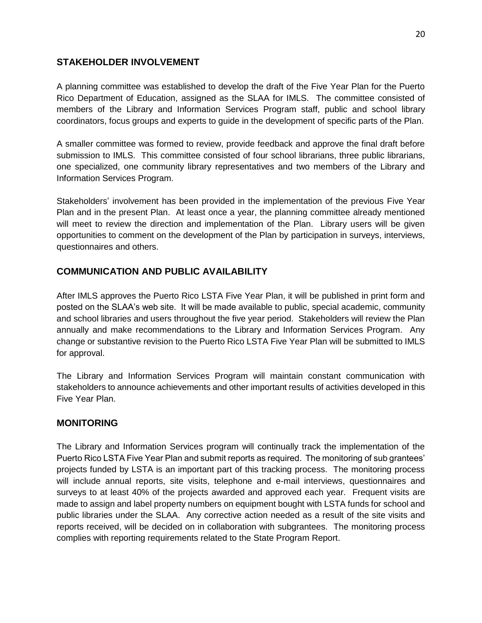## **STAKEHOLDER INVOLVEMENT**

A planning committee was established to develop the draft of the Five Year Plan for the Puerto Rico Department of Education, assigned as the SLAA for IMLS. The committee consisted of members of the Library and Information Services Program staff, public and school library coordinators, focus groups and experts to guide in the development of specific parts of the Plan.

A smaller committee was formed to review, provide feedback and approve the final draft before submission to IMLS. This committee consisted of four school librarians, three public librarians, one specialized, one community library representatives and two members of the Library and Information Services Program.

Stakeholders' involvement has been provided in the implementation of the previous Five Year Plan and in the present Plan. At least once a year, the planning committee already mentioned will meet to review the direction and implementation of the Plan. Library users will be given opportunities to comment on the development of the Plan by participation in surveys, interviews, questionnaires and others.

## **COMMUNICATION AND PUBLIC AVAILABILITY**

After IMLS approves the Puerto Rico LSTA Five Year Plan, it will be published in print form and posted on the SLAA's web site. It will be made available to public, special academic, community and school libraries and users throughout the five year period. Stakeholders will review the Plan annually and make recommendations to the Library and Information Services Program. Any change or substantive revision to the Puerto Rico LSTA Five Year Plan will be submitted to IMLS for approval.

The Library and Information Services Program will maintain constant communication with stakeholders to announce achievements and other important results of activities developed in this Five Year Plan.

## **MONITORING**

The Library and Information Services program will continually track the implementation of the Puerto Rico LSTA Five Year Plan and submit reports as required. The monitoring of sub grantees' projects funded by LSTA is an important part of this tracking process. The monitoring process will include annual reports, site visits, telephone and e-mail interviews, questionnaires and surveys to at least 40% of the projects awarded and approved each year. Frequent visits are made to assign and label property numbers on equipment bought with LSTA funds for school and public libraries under the SLAA. Any corrective action needed as a result of the site visits and reports received, will be decided on in collaboration with subgrantees. The monitoring process complies with reporting requirements related to the State Program Report.